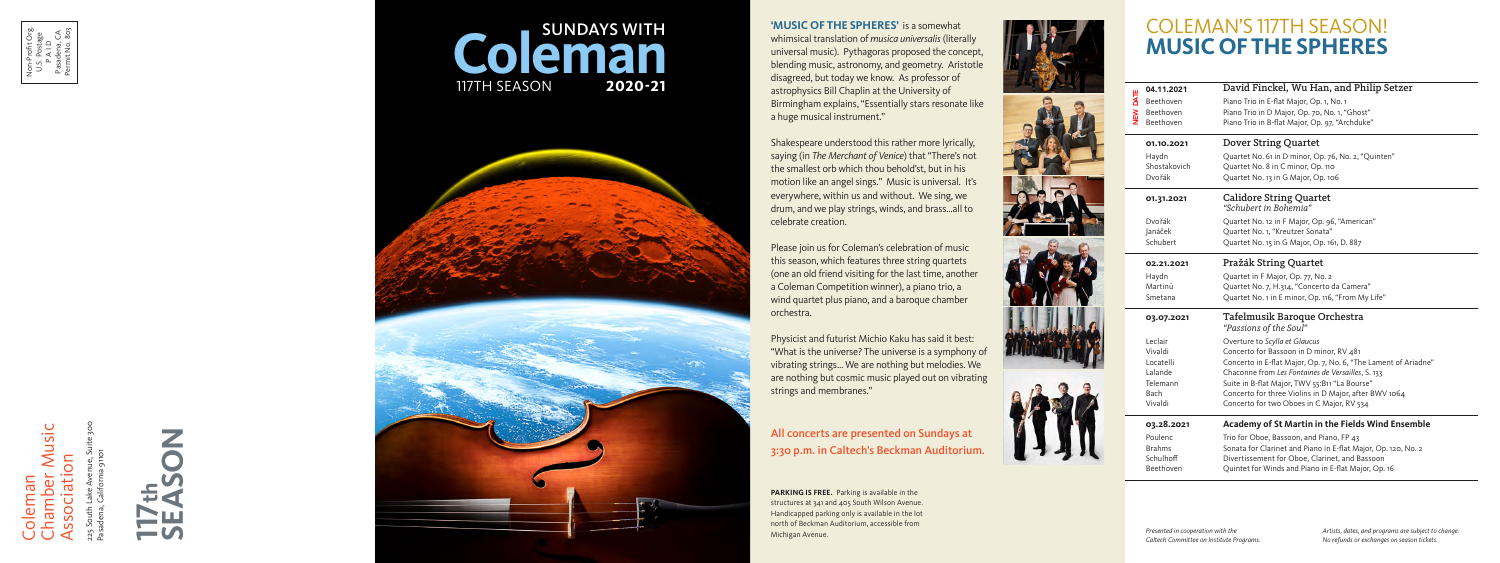Chamber Music Music hamber Mu Association Coleman **ue** 

225 South Lake Avenue, Suite 300 Pasadena, California 91101

Non-Profit Org. U.S. Postage P A I D Pasadena, CA Permit No. 803



**PARKING IS FREE.** Parking is available in the structures at 341 and 405 South Wilson Avenue. Handicapped parking only is available in the lot north of Beckman Auditorium, accessible from Michigan Avenue. *Artists, dates, and programs are subject to change. Artists, dates, and programs are subject to change.* 

# COLEMAN'S 117TH SEASON! **MUSIC OF THE SPHERES**

|          | 04.11.2021    | David Finckel, Wu Han, and Philip Setzer                        |
|----------|---------------|-----------------------------------------------------------------|
| NEW DATE | Beethoven     | Piano Trio in E-flat Major, Op. 1, No. 1                        |
|          | Beethoven     | Piano Trio in D Major, Op. 70, No. 1, "Ghost"                   |
|          | Beethoven     | Piano Trio in B-flat Major, Op. 97, "Archduke"                  |
|          | 01.10.2021    | <b>Dover String Quartet</b>                                     |
|          | Haydn         | Quartet No. 61 in D minor, Op. 76, No. 2, "Quinten"             |
|          | Shostakovich  | Quartet No. 8 in C minor, Op. 110                               |
|          | Dvořák        | Quartet No. 13 in G Major, Op. 106                              |
|          | 01.31.2021    | <b>Calidore String Quartet</b><br>"Schubert in Bohemia"         |
|          | Dvořák        | Quartet No. 12 in F Major, Op. 96, "American"                   |
|          | Janáček       | Quartet No. 1, "Kreutzer Sonata"                                |
|          | Schubert      | Quartet No. 15 in G Major, Op. 161, D. 887                      |
|          | 02.21.2021    | Pražák String Quartet                                           |
|          | Haydn         | Quartet in F Major, Op. 77, No. 2                               |
|          | Martinů       | Quartet No. 7, H.314, "Concerto da Camera"                      |
|          | Smetana       | Quartet No. 1 in E minor, Op. 116, "From My Life"               |
|          | 03.07.2021    | Tafelmusik Baroque Orchestra<br>"Passions of the Soul"          |
|          | Leclair       | Overture to Scylla et Glaucus                                   |
|          | Vivaldi       | Concerto for Bassoon in D minor, RV 481                         |
|          | Locatelli     | Concerto in E-flat Major, Op. 7, No. 6, "The Lament of Ariadne" |
|          | Lalande       | Chaconne from Les Fontaines de Versailles, S. 133               |
|          | Telemann      | Suite in B-flat Major, TWV 55:B11 "La Bourse"                   |
|          | Bach          | Concerto for three Violins in D Major, after BWV 1064           |
|          | Vivaldi       | Concerto for two Oboes in C Major, RV 534                       |
|          | 03.28.2021    | <b>Academy of St Martin in the Fields Wind Ensemble</b>         |
|          | Poulenc       | Trio for Oboe, Bassoon, and Piano, FP 43                        |
|          | <b>Brahms</b> | Sonata for Clarinet and Piano in E-flat Major, Op. 120, No. 2   |
|          | Schulhoff     | Divertissement for Oboe, Clarinet, and Bassoon                  |
|          | Beethoven     | Quintet for Winds and Piano in E-flat Major, Op. 16             |
|          |               |                                                                 |

**'MUSIC OF THE SPHERES'** is a somewhat whimsical translation of *musica universalis* (literally universal music). Pythagoras proposed the concept, blending music, astronomy, and geometry. Aristotle disagreed, but today we know. As professor of astrophysics Bill Chaplin at the University of Birmingham explains, "Essentially stars resonate like a huge musical instrument."

Shakespeare understood this rather more lyrically, saying (in *The Merchant of Venice*) that "There's not the smallest orb which thou behold'st, but in his motion like an angel sings." Music is universal. It's everywhere, within us and without. We sing, we drum, and we play strings, winds, and brass…all to celebrate creation.

*The pleasure of musical company*  3:30 p.m. in Caltech's Beckman Auditorium. All concerts are presented on Sundays at

Please join us for Coleman's celebration of music this season, which features three string quartets (one an old friend visiting for the last time, another a Coleman Competition winner), a piano trio, a wind quartet plus piano, and a baroque chamber orchestra.



Physicist and futurist Michio Kaku has said it best: "What is the universe? The universe is a symphony of vibrating strings… We are nothing but melodies. We are nothing but cosmic music played out on vibrating strings and membranes."